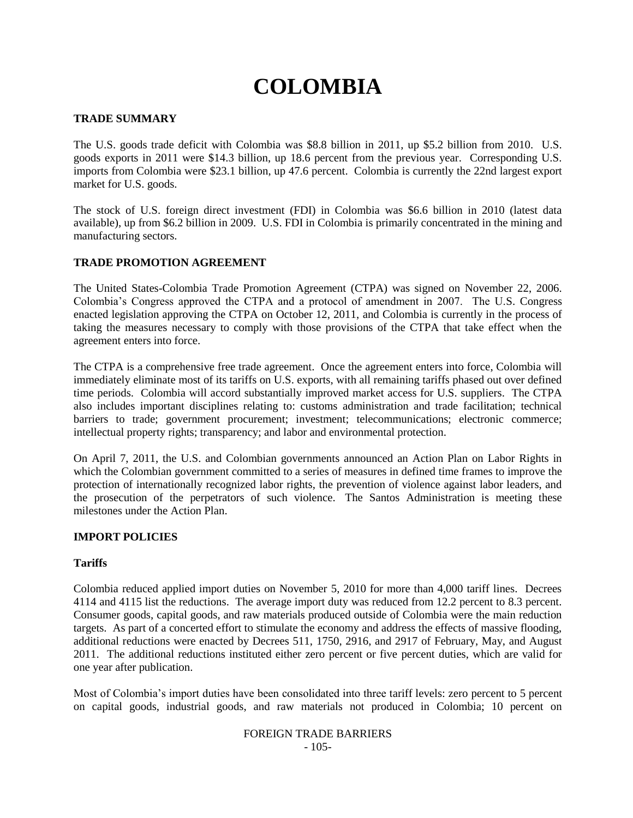# **COLOMBIA**

# **TRADE SUMMARY**

The U.S. goods trade deficit with Colombia was \$8.8 billion in 2011, up \$5.2 billion from 2010. U.S. goods exports in 2011 were \$14.3 billion, up 18.6 percent from the previous year. Corresponding U.S. imports from Colombia were \$23.1 billion, up 47.6 percent. Colombia is currently the 22nd largest export market for U.S. goods.

The stock of U.S. foreign direct investment (FDI) in Colombia was \$6.6 billion in 2010 (latest data available), up from \$6.2 billion in 2009. U.S. FDI in Colombia is primarily concentrated in the mining and manufacturing sectors.

## **TRADE PROMOTION AGREEMENT**

The United States-Colombia Trade Promotion Agreement (CTPA) was signed on November 22, 2006. Colombia"s Congress approved the CTPA and a protocol of amendment in 2007. The U.S. Congress enacted legislation approving the CTPA on October 12, 2011, and Colombia is currently in the process of taking the measures necessary to comply with those provisions of the CTPA that take effect when the agreement enters into force.

The CTPA is a comprehensive free trade agreement. Once the agreement enters into force, Colombia will immediately eliminate most of its tariffs on U.S. exports, with all remaining tariffs phased out over defined time periods. Colombia will accord substantially improved market access for U.S. suppliers. The CTPA also includes important disciplines relating to: customs administration and trade facilitation; technical barriers to trade; government procurement; investment; telecommunications; electronic commerce; intellectual property rights; transparency; and labor and environmental protection.

On April 7, 2011, the U.S. and Colombian governments announced an Action Plan on Labor Rights in which the Colombian government committed to a series of measures in defined time frames to improve the protection of internationally recognized labor rights, the prevention of violence against labor leaders, and the prosecution of the perpetrators of such violence. The Santos Administration is meeting these milestones under the Action Plan.

# **IMPORT POLICIES**

## **Tariffs**

Colombia reduced applied import duties on November 5, 2010 for more than 4,000 tariff lines. Decrees 4114 and 4115 list the reductions. The average import duty was reduced from 12.2 percent to 8.3 percent. Consumer goods, capital goods, and raw materials produced outside of Colombia were the main reduction targets. As part of a concerted effort to stimulate the economy and address the effects of massive flooding, additional reductions were enacted by Decrees 511, 1750, 2916, and 2917 of February, May, and August 2011. The additional reductions instituted either zero percent or five percent duties, which are valid for one year after publication.

Most of Colombia"s import duties have been consolidated into three tariff levels: zero percent to 5 percent on capital goods, industrial goods, and raw materials not produced in Colombia; 10 percent on

#### FOREIGN TRADE BARRIERS - 105-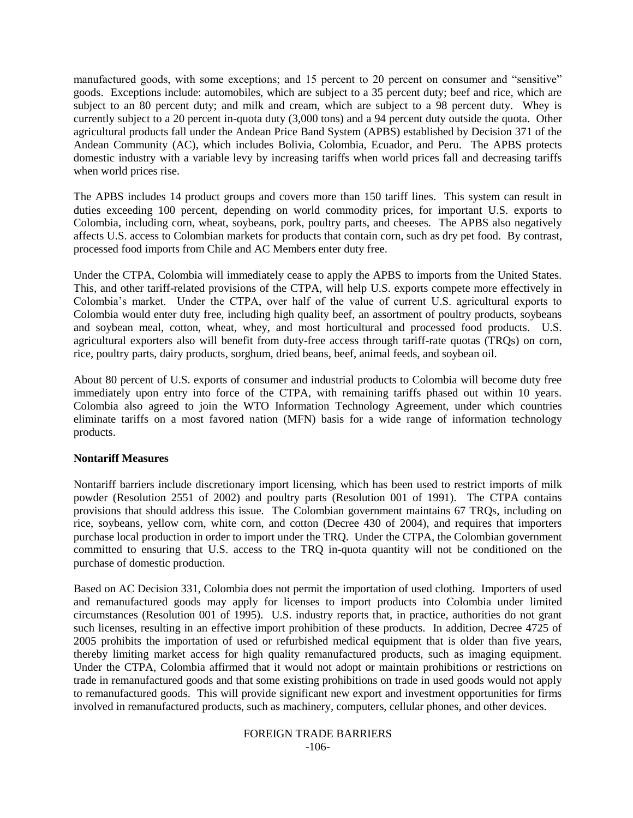manufactured goods, with some exceptions; and 15 percent to 20 percent on consumer and "sensitive" goods. Exceptions include: automobiles, which are subject to a 35 percent duty; beef and rice, which are subject to an 80 percent duty; and milk and cream, which are subject to a 98 percent duty. Whey is currently subject to a 20 percent in-quota duty (3,000 tons) and a 94 percent duty outside the quota. Other agricultural products fall under the Andean Price Band System (APBS) established by Decision 371 of the Andean Community (AC), which includes Bolivia, Colombia, Ecuador, and Peru. The APBS protects domestic industry with a variable levy by increasing tariffs when world prices fall and decreasing tariffs when world prices rise.

The APBS includes 14 product groups and covers more than 150 tariff lines. This system can result in duties exceeding 100 percent, depending on world commodity prices, for important U.S. exports to Colombia, including corn, wheat, soybeans, pork, poultry parts, and cheeses. The APBS also negatively affects U.S. access to Colombian markets for products that contain corn, such as dry pet food. By contrast, processed food imports from Chile and AC Members enter duty free.

Under the CTPA, Colombia will immediately cease to apply the APBS to imports from the United States. This, and other tariff-related provisions of the CTPA, will help U.S. exports compete more effectively in Colombia"s market. Under the CTPA, over half of the value of current U.S. agricultural exports to Colombia would enter duty free, including high quality beef, an assortment of poultry products, soybeans and soybean meal, cotton, wheat, whey, and most horticultural and processed food products. U.S. agricultural exporters also will benefit from duty-free access through tariff-rate quotas (TRQs) on corn, rice, poultry parts, dairy products, sorghum, dried beans, beef, animal feeds, and soybean oil.

About 80 percent of U.S. exports of consumer and industrial products to Colombia will become duty free immediately upon entry into force of the CTPA, with remaining tariffs phased out within 10 years. Colombia also agreed to join the WTO Information Technology Agreement, under which countries eliminate tariffs on a most favored nation (MFN) basis for a wide range of information technology products.

#### **Nontariff Measures**

Nontariff barriers include discretionary import licensing, which has been used to restrict imports of milk powder (Resolution 2551 of 2002) and poultry parts (Resolution 001 of 1991). The CTPA contains provisions that should address this issue. The Colombian government maintains 67 TRQs, including on rice, soybeans, yellow corn, white corn, and cotton (Decree 430 of 2004), and requires that importers purchase local production in order to import under the TRQ. Under the CTPA, the Colombian government committed to ensuring that U.S. access to the TRQ in-quota quantity will not be conditioned on the purchase of domestic production.

Based on AC Decision 331, Colombia does not permit the importation of used clothing. Importers of used and remanufactured goods may apply for licenses to import products into Colombia under limited circumstances (Resolution 001 of 1995). U.S. industry reports that, in practice, authorities do not grant such licenses, resulting in an effective import prohibition of these products. In addition, Decree 4725 of 2005 prohibits the importation of used or refurbished medical equipment that is older than five years, thereby limiting market access for high quality remanufactured products, such as imaging equipment. Under the CTPA, Colombia affirmed that it would not adopt or maintain prohibitions or restrictions on trade in remanufactured goods and that some existing prohibitions on trade in used goods would not apply to remanufactured goods. This will provide significant new export and investment opportunities for firms involved in remanufactured products, such as machinery, computers, cellular phones, and other devices.

> FOREIGN TRADE BARRIERS -106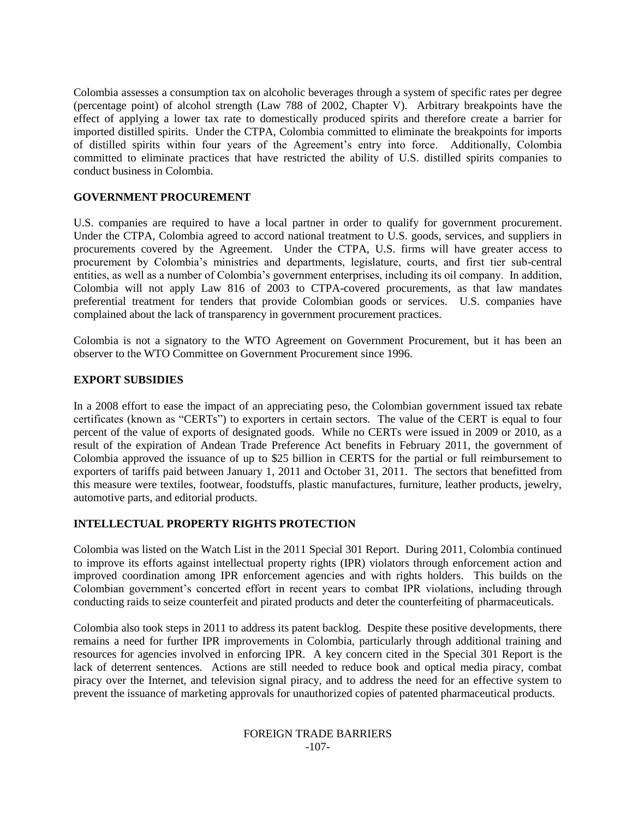Colombia assesses a consumption tax on alcoholic beverages through a system of specific rates per degree (percentage point) of alcohol strength (Law 788 of 2002, Chapter V). Arbitrary breakpoints have the effect of applying a lower tax rate to domestically produced spirits and therefore create a barrier for imported distilled spirits. Under the CTPA, Colombia committed to eliminate the breakpoints for imports of distilled spirits within four years of the Agreement"s entry into force. Additionally, Colombia committed to eliminate practices that have restricted the ability of U.S. distilled spirits companies to conduct business in Colombia.

### **GOVERNMENT PROCUREMENT**

U.S. companies are required to have a local partner in order to qualify for government procurement. Under the CTPA, Colombia agreed to accord national treatment to U.S. goods, services, and suppliers in procurements covered by the Agreement. Under the CTPA, U.S. firms will have greater access to procurement by Colombia"s ministries and departments, legislature, courts, and first tier sub-central entities, as well as a number of Colombia's government enterprises, including its oil company. In addition, Colombia will not apply Law 816 of 2003 to CTPA-covered procurements, as that law mandates preferential treatment for tenders that provide Colombian goods or services. U.S. companies have complained about the lack of transparency in government procurement practices.

Colombia is not a signatory to the WTO Agreement on Government Procurement, but it has been an observer to the WTO Committee on Government Procurement since 1996.

#### **EXPORT SUBSIDIES**

In a 2008 effort to ease the impact of an appreciating peso, the Colombian government issued tax rebate certificates (known as "CERTs") to exporters in certain sectors. The value of the CERT is equal to four percent of the value of exports of designated goods. While no CERTs were issued in 2009 or 2010, as a result of the expiration of Andean Trade Preference Act benefits in February 2011, the government of Colombia approved the issuance of up to \$25 billion in CERTS for the partial or full reimbursement to exporters of tariffs paid between January 1, 2011 and October 31, 2011. The sectors that benefitted from this measure were textiles, footwear, foodstuffs, plastic manufactures, furniture, leather products, jewelry, automotive parts, and editorial products.

## **INTELLECTUAL PROPERTY RIGHTS PROTECTION**

Colombia was listed on the Watch List in the 2011 Special 301 Report. During 2011, Colombia continued to improve its efforts against intellectual property rights (IPR) violators through enforcement action and improved coordination among IPR enforcement agencies and with rights holders. This builds on the Colombian government's concerted effort in recent years to combat IPR violations, including through conducting raids to seize counterfeit and pirated products and deter the counterfeiting of pharmaceuticals.

Colombia also took steps in 2011 to address its patent backlog. Despite these positive developments, there remains a need for further IPR improvements in Colombia, particularly through additional training and resources for agencies involved in enforcing IPR. A key concern cited in the Special 301 Report is the lack of deterrent sentences. Actions are still needed to reduce book and optical media piracy, combat piracy over the Internet, and television signal piracy, and to address the need for an effective system to prevent the issuance of marketing approvals for unauthorized copies of patented pharmaceutical products.

#### FOREIGN TRADE BARRIERS -107-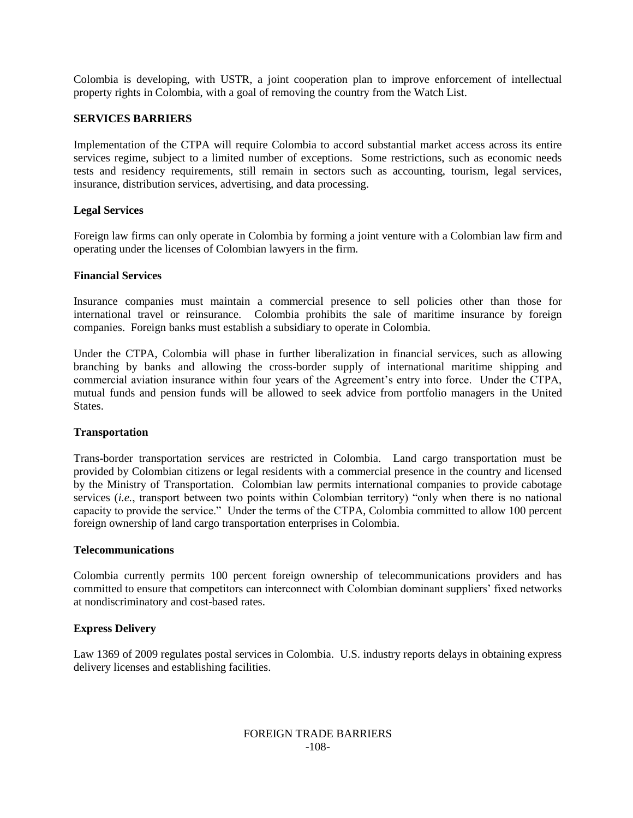Colombia is developing, with USTR, a joint cooperation plan to improve enforcement of intellectual property rights in Colombia, with a goal of removing the country from the Watch List.

### **SERVICES BARRIERS**

Implementation of the CTPA will require Colombia to accord substantial market access across its entire services regime, subject to a limited number of exceptions. Some restrictions, such as economic needs tests and residency requirements, still remain in sectors such as accounting, tourism, legal services, insurance, distribution services, advertising, and data processing.

## **Legal Services**

Foreign law firms can only operate in Colombia by forming a joint venture with a Colombian law firm and operating under the licenses of Colombian lawyers in the firm.

#### **Financial Services**

Insurance companies must maintain a commercial presence to sell policies other than those for international travel or reinsurance. Colombia prohibits the sale of maritime insurance by foreign companies. Foreign banks must establish a subsidiary to operate in Colombia.

Under the CTPA, Colombia will phase in further liberalization in financial services, such as allowing branching by banks and allowing the cross-border supply of international maritime shipping and commercial aviation insurance within four years of the Agreement's entry into force. Under the CTPA, mutual funds and pension funds will be allowed to seek advice from portfolio managers in the United States.

#### **Transportation**

Trans-border transportation services are restricted in Colombia. Land cargo transportation must be provided by Colombian citizens or legal residents with a commercial presence in the country and licensed by the Ministry of Transportation. Colombian law permits international companies to provide cabotage services (*i.e.*, transport between two points within Colombian territory) "only when there is no national capacity to provide the service." Under the terms of the CTPA, Colombia committed to allow 100 percent foreign ownership of land cargo transportation enterprises in Colombia.

#### **Telecommunications**

Colombia currently permits 100 percent foreign ownership of telecommunications providers and has committed to ensure that competitors can interconnect with Colombian dominant suppliers' fixed networks at nondiscriminatory and cost-based rates.

## **Express Delivery**

Law 1369 of 2009 regulates postal services in Colombia. U.S. industry reports delays in obtaining express delivery licenses and establishing facilities.